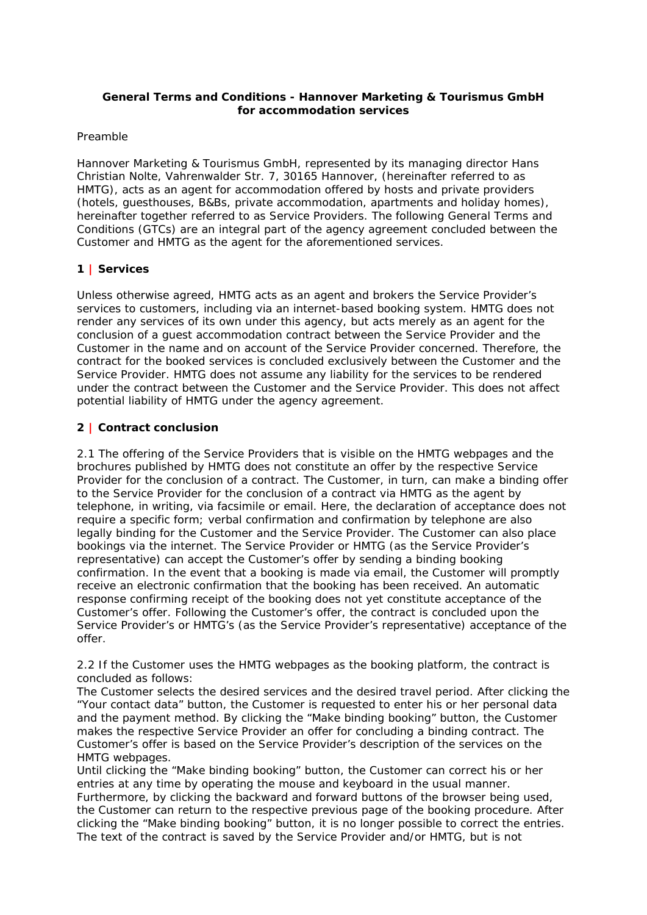### **General Terms and Conditions - Hannover Marketing & Tourismus GmbH for accommodation services**

### Preamble

Hannover Marketing & Tourismus GmbH, represented by its managing director Hans Christian Nolte, Vahrenwalder Str. 7, 30165 Hannover, (hereinafter referred to as HMTG), acts as an agent for accommodation offered by hosts and private providers (hotels, guesthouses, B&Bs, private accommodation, apartments and holiday homes), hereinafter together referred to as Service Providers. The following General Terms and Conditions (GTCs) are an integral part of the agency agreement concluded between the Customer and HMTG as the agent for the aforementioned services.

# **1 | Services**

Unless otherwise agreed, HMTG acts as an agent and brokers the Service Provider's services to customers, including via an internet-based booking system. HMTG does not render any services of its own under this agency, but acts merely as an agent for the conclusion of a guest accommodation contract between the Service Provider and the Customer in the name and on account of the Service Provider concerned. Therefore, the contract for the booked services is concluded exclusively between the Customer and the Service Provider. HMTG does not assume any liability for the services to be rendered under the contract between the Customer and the Service Provider. This does not affect potential liability of HMTG under the agency agreement.

### **2 | Contract conclusion**

2.1 The offering of the Service Providers that is visible on the HMTG webpages and the brochures published by HMTG does not constitute an offer by the respective Service Provider for the conclusion of a contract. The Customer, in turn, can make a binding offer to the Service Provider for the conclusion of a contract via HMTG as the agent by telephone, in writing, via facsimile or email. Here, the declaration of acceptance does not require a specific form; verbal confirmation and confirmation by telephone are also legally binding for the Customer and the Service Provider. The Customer can also place bookings via the internet. The Service Provider or HMTG (as the Service Provider's representative) can accept the Customer's offer by sending a binding booking confirmation. In the event that a booking is made via email, the Customer will promptly receive an electronic confirmation that the booking has been received. An automatic response confirming receipt of the booking does not yet constitute acceptance of the Customer's offer. Following the Customer's offer, the contract is concluded upon the Service Provider's or HMTG's (as the Service Provider's representative) acceptance of the offer.

2.2 If the Customer uses the HMTG webpages as the booking platform, the contract is concluded as follows:

The Customer selects the desired services and the desired travel period. After clicking the "Your contact data" button, the Customer is requested to enter his or her personal data and the payment method. By clicking the "Make binding booking" button, the Customer makes the respective Service Provider an offer for concluding a binding contract. The Customer's offer is based on the Service Provider's description of the services on the HMTG webpages.

Until clicking the "Make binding booking" button, the Customer can correct his or her entries at any time by operating the mouse and keyboard in the usual manner. Furthermore, by clicking the backward and forward buttons of the browser being used, the Customer can return to the respective previous page of the booking procedure. After clicking the "Make binding booking" button, it is no longer possible to correct the entries. The text of the contract is saved by the Service Provider and/or HMTG, but is not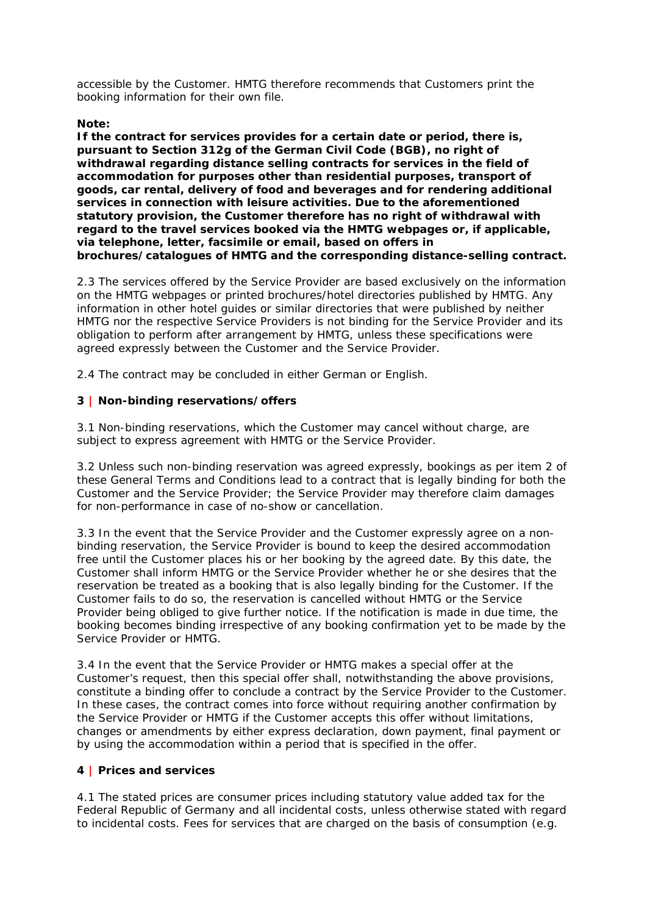accessible by the Customer. HMTG therefore recommends that Customers print the booking information for their own file.

### **Note:**

**If the contract for services provides for a certain date or period, there is, pursuant to Section 312g of the German Civil Code (BGB), no right of withdrawal regarding distance selling contracts for services in the field of accommodation for purposes other than residential purposes, transport of goods, car rental, delivery of food and beverages and for rendering additional services in connection with leisure activities. Due to the aforementioned statutory provision, the Customer therefore has no right of withdrawal with regard to the travel services booked via the HMTG webpages or, if applicable, via telephone, letter, facsimile or email, based on offers in brochures/catalogues of HMTG and the corresponding distance-selling contract.** 

2.3 The services offered by the Service Provider are based exclusively on the information on the HMTG webpages or printed brochures/hotel directories published by HMTG. Any information in other hotel guides or similar directories that were published by neither HMTG nor the respective Service Providers is not binding for the Service Provider and its obligation to perform after arrangement by HMTG, unless these specifications were agreed expressly between the Customer and the Service Provider.

2.4 The contract may be concluded in either German or English.

# **3 | Non-binding reservations/offers**

3.1 Non-binding reservations, which the Customer may cancel without charge, are subject to express agreement with HMTG or the Service Provider.

3.2 Unless such non-binding reservation was agreed expressly, bookings as per item 2 of these General Terms and Conditions lead to a contract that is legally binding for both the Customer and the Service Provider; the Service Provider may therefore claim damages for non-performance in case of no-show or cancellation.

3.3 In the event that the Service Provider and the Customer expressly agree on a nonbinding reservation, the Service Provider is bound to keep the desired accommodation free until the Customer places his or her booking by the agreed date. By this date, the Customer shall inform HMTG or the Service Provider whether he or she desires that the reservation be treated as a booking that is also legally binding for the Customer. If the Customer fails to do so, the reservation is cancelled without HMTG or the Service Provider being obliged to give further notice. If the notification is made in due time, the booking becomes binding irrespective of any booking confirmation yet to be made by the Service Provider or HMTG.

3.4 In the event that the Service Provider or HMTG makes a special offer at the Customer's request, then this special offer shall, notwithstanding the above provisions, constitute a binding offer to conclude a contract by the Service Provider to the Customer. In these cases, the contract comes into force without requiring another confirmation by the Service Provider or HMTG if the Customer accepts this offer without limitations, changes or amendments by either express declaration, down payment, final payment or by using the accommodation within a period that is specified in the offer.

### **4 | Prices and services**

4.1 The stated prices are consumer prices including statutory value added tax for the Federal Republic of Germany and all incidental costs, unless otherwise stated with regard to incidental costs. Fees for services that are charged on the basis of consumption (e.g.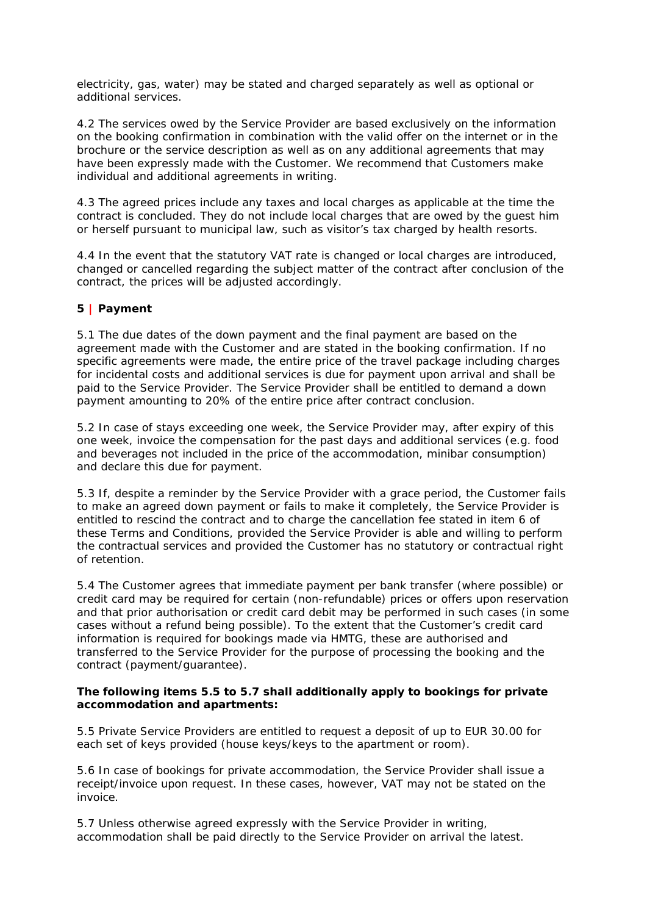electricity, gas, water) may be stated and charged separately as well as optional or additional services.

4.2 The services owed by the Service Provider are based exclusively on the information on the booking confirmation in combination with the valid offer on the internet or in the brochure or the service description as well as on any additional agreements that may have been expressly made with the Customer. We recommend that Customers make individual and additional agreements in writing.

4.3 The agreed prices include any taxes and local charges as applicable at the time the contract is concluded. They do not include local charges that are owed by the guest him or herself pursuant to municipal law, such as visitor's tax charged by health resorts.

4.4 In the event that the statutory VAT rate is changed or local charges are introduced, changed or cancelled regarding the subject matter of the contract after conclusion of the contract, the prices will be adjusted accordingly.

# **5 | Payment**

5.1 The due dates of the down payment and the final payment are based on the agreement made with the Customer and are stated in the booking confirmation. If no specific agreements were made, the entire price of the travel package including charges for incidental costs and additional services is due for payment upon arrival and shall be paid to the Service Provider. The Service Provider shall be entitled to demand a down payment amounting to 20% of the entire price after contract conclusion.

5.2 In case of stays exceeding one week, the Service Provider may, after expiry of this one week, invoice the compensation for the past days and additional services (e.g. food and beverages not included in the price of the accommodation, minibar consumption) and declare this due for payment.

5.3 If, despite a reminder by the Service Provider with a grace period, the Customer fails to make an agreed down payment or fails to make it completely, the Service Provider is entitled to rescind the contract and to charge the cancellation fee stated in item 6 of these Terms and Conditions, provided the Service Provider is able and willing to perform the contractual services and provided the Customer has no statutory or contractual right of retention.

5.4 The Customer agrees that immediate payment per bank transfer (where possible) or credit card may be required for certain (non-refundable) prices or offers upon reservation and that prior authorisation or credit card debit may be performed in such cases (in some cases without a refund being possible). To the extent that the Customer's credit card information is required for bookings made via HMTG, these are authorised and transferred to the Service Provider for the purpose of processing the booking and the contract (payment/guarantee).

### **The following items 5.5 to 5.7 shall additionally apply to bookings for private accommodation and apartments:**

5.5 Private Service Providers are entitled to request a deposit of up to EUR 30.00 for each set of keys provided (house keys/keys to the apartment or room).

5.6 In case of bookings for private accommodation, the Service Provider shall issue a receipt/invoice upon request. In these cases, however, VAT may not be stated on the invoice.

5.7 Unless otherwise agreed expressly with the Service Provider in writing, accommodation shall be paid directly to the Service Provider on arrival the latest.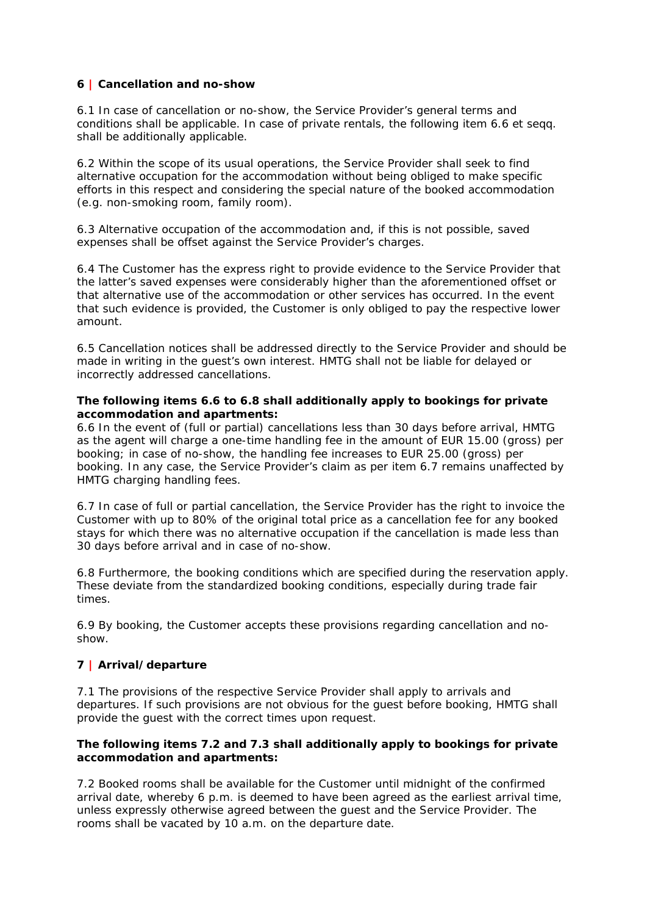## **6 | Cancellation and no-show**

6.1 In case of cancellation or no-show, the Service Provider's general terms and conditions shall be applicable. In case of private rentals, the following item 6.6 et seqq. shall be additionally applicable.

6.2 Within the scope of its usual operations, the Service Provider shall seek to find alternative occupation for the accommodation without being obliged to make specific efforts in this respect and considering the special nature of the booked accommodation (e.g. non-smoking room, family room).

6.3 Alternative occupation of the accommodation and, if this is not possible, saved expenses shall be offset against the Service Provider's charges.

6.4 The Customer has the express right to provide evidence to the Service Provider that the latter's saved expenses were considerably higher than the aforementioned offset or that alternative use of the accommodation or other services has occurred. In the event that such evidence is provided, the Customer is only obliged to pay the respective lower amount.

6.5 Cancellation notices shall be addressed directly to the Service Provider and should be made in writing in the guest's own interest. HMTG shall not be liable for delayed or incorrectly addressed cancellations.

#### **The following items 6.6 to 6.8 shall additionally apply to bookings for private accommodation and apartments:**

6.6 In the event of (full or partial) cancellations less than 30 days before arrival, HMTG as the agent will charge a one-time handling fee in the amount of EUR 15.00 (gross) per booking; in case of no-show, the handling fee increases to EUR 25.00 (gross) per booking. In any case, the Service Provider's claim as per item 6.7 remains unaffected by HMTG charging handling fees.

6.7 In case of full or partial cancellation, the Service Provider has the right to invoice the Customer with up to 80% of the original total price as a cancellation fee for any booked stays for which there was no alternative occupation if the cancellation is made less than 30 days before arrival and in case of no-show.

6.8 Furthermore, the booking conditions which are specified during the reservation apply. These deviate from the standardized booking conditions, especially during trade fair times.

6.9 By booking, the Customer accepts these provisions regarding cancellation and noshow.

# **7 | Arrival/departure**

7.1 The provisions of the respective Service Provider shall apply to arrivals and departures. If such provisions are not obvious for the guest before booking, HMTG shall provide the guest with the correct times upon request.

### **The following items 7.2 and 7.3 shall additionally apply to bookings for private accommodation and apartments:**

7.2 Booked rooms shall be available for the Customer until midnight of the confirmed arrival date, whereby 6 p.m. is deemed to have been agreed as the earliest arrival time, unless expressly otherwise agreed between the guest and the Service Provider. The rooms shall be vacated by 10 a.m. on the departure date.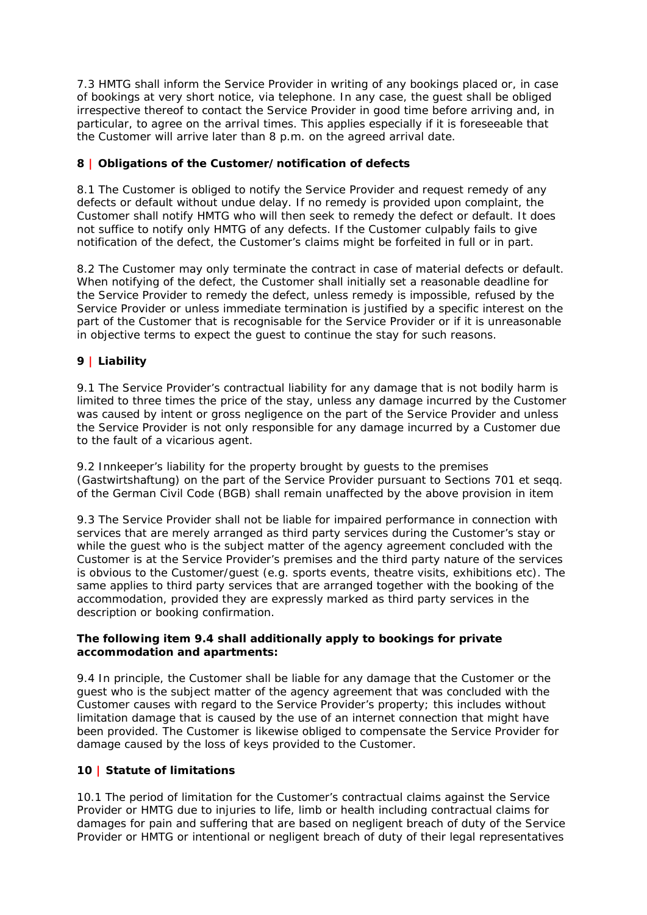7.3 HMTG shall inform the Service Provider in writing of any bookings placed or, in case of bookings at very short notice, via telephone. In any case, the guest shall be obliged irrespective thereof to contact the Service Provider in good time before arriving and, in particular, to agree on the arrival times. This applies especially if it is foreseeable that the Customer will arrive later than 8 p.m. on the agreed arrival date.

## **8 | Obligations of the Customer/notification of defects**

8.1 The Customer is obliged to notify the Service Provider and request remedy of any defects or default without undue delay. If no remedy is provided upon complaint, the Customer shall notify HMTG who will then seek to remedy the defect or default. It does not suffice to notify only HMTG of any defects. If the Customer culpably fails to give notification of the defect, the Customer's claims might be forfeited in full or in part.

8.2 The Customer may only terminate the contract in case of material defects or default. When notifying of the defect, the Customer shall initially set a reasonable deadline for the Service Provider to remedy the defect, unless remedy is impossible, refused by the Service Provider or unless immediate termination is justified by a specific interest on the part of the Customer that is recognisable for the Service Provider or if it is unreasonable in objective terms to expect the guest to continue the stay for such reasons.

# **9 | Liability**

9.1 The Service Provider's contractual liability for any damage that is not bodily harm is limited to three times the price of the stay, unless any damage incurred by the Customer was caused by intent or gross negligence on the part of the Service Provider and unless the Service Provider is not only responsible for any damage incurred by a Customer due to the fault of a vicarious agent.

9.2 Innkeeper's liability for the property brought by guests to the premises (Gastwirtshaftung) on the part of the Service Provider pursuant to Sections 701 et seqq. of the German Civil Code (BGB) shall remain unaffected by the above provision in item

9.3 The Service Provider shall not be liable for impaired performance in connection with services that are merely arranged as third party services during the Customer's stay or while the guest who is the subject matter of the agency agreement concluded with the Customer is at the Service Provider's premises and the third party nature of the services is obvious to the Customer/guest (e.g. sports events, theatre visits, exhibitions etc). The same applies to third party services that are arranged together with the booking of the accommodation, provided they are expressly marked as third party services in the description or booking confirmation.

### **The following item 9.4 shall additionally apply to bookings for private accommodation and apartments:**

9.4 In principle, the Customer shall be liable for any damage that the Customer or the guest who is the subject matter of the agency agreement that was concluded with the Customer causes with regard to the Service Provider's property; this includes without limitation damage that is caused by the use of an internet connection that might have been provided. The Customer is likewise obliged to compensate the Service Provider for damage caused by the loss of keys provided to the Customer.

### **10 | Statute of limitations**

10.1 The period of limitation for the Customer's contractual claims against the Service Provider or HMTG due to injuries to life, limb or health including contractual claims for damages for pain and suffering that are based on negligent breach of duty of the Service Provider or HMTG or intentional or negligent breach of duty of their legal representatives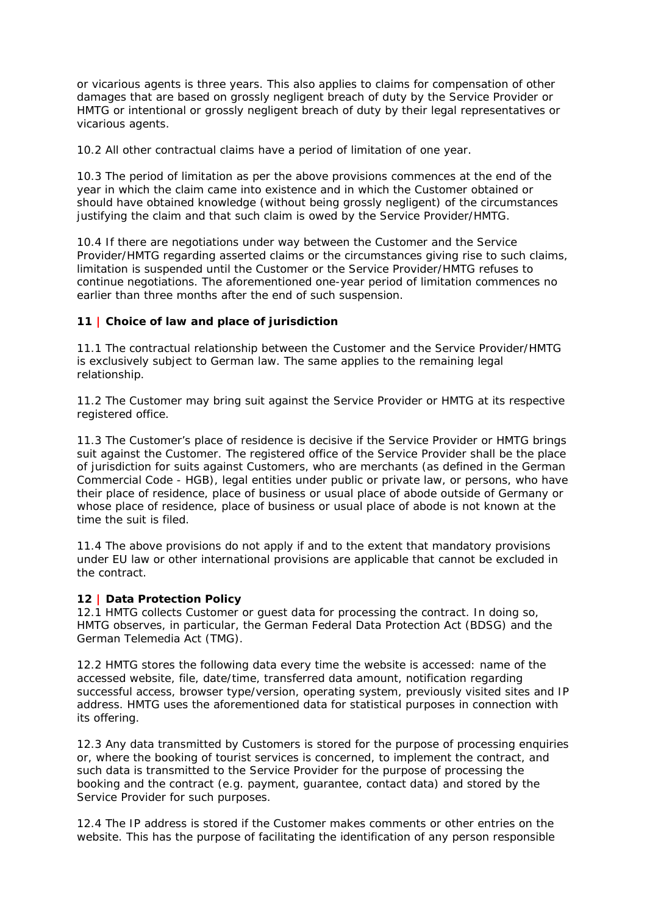or vicarious agents is three years. This also applies to claims for compensation of other damages that are based on grossly negligent breach of duty by the Service Provider or HMTG or intentional or grossly negligent breach of duty by their legal representatives or vicarious agents.

10.2 All other contractual claims have a period of limitation of one year.

10.3 The period of limitation as per the above provisions commences at the end of the year in which the claim came into existence and in which the Customer obtained or should have obtained knowledge (without being grossly negligent) of the circumstances justifying the claim and that such claim is owed by the Service Provider/HMTG.

10.4 If there are negotiations under way between the Customer and the Service Provider/HMTG regarding asserted claims or the circumstances giving rise to such claims, limitation is suspended until the Customer or the Service Provider/HMTG refuses to continue negotiations. The aforementioned one-year period of limitation commences no earlier than three months after the end of such suspension.

### **11 | Choice of law and place of jurisdiction**

11.1 The contractual relationship between the Customer and the Service Provider/HMTG is exclusively subject to German law. The same applies to the remaining legal relationship.

11.2 The Customer may bring suit against the Service Provider or HMTG at its respective registered office.

11.3 The Customer's place of residence is decisive if the Service Provider or HMTG brings suit against the Customer. The registered office of the Service Provider shall be the place of jurisdiction for suits against Customers, who are merchants (as defined in the German Commercial Code - HGB), legal entities under public or private law, or persons, who have their place of residence, place of business or usual place of abode outside of Germany or whose place of residence, place of business or usual place of abode is not known at the time the suit is filed.

11.4 The above provisions do not apply if and to the extent that mandatory provisions under EU law or other international provisions are applicable that cannot be excluded in the contract.

### **12 | Data Protection Policy**

12.1 HMTG collects Customer or guest data for processing the contract. In doing so, HMTG observes, in particular, the German Federal Data Protection Act (BDSG) and the German Telemedia Act (TMG).

12.2 HMTG stores the following data every time the website is accessed: name of the accessed website, file, date/time, transferred data amount, notification regarding successful access, browser type/version, operating system, previously visited sites and IP address. HMTG uses the aforementioned data for statistical purposes in connection with its offering.

12.3 Any data transmitted by Customers is stored for the purpose of processing enquiries or, where the booking of tourist services is concerned, to implement the contract, and such data is transmitted to the Service Provider for the purpose of processing the booking and the contract (e.g. payment, guarantee, contact data) and stored by the Service Provider for such purposes.

12.4 The IP address is stored if the Customer makes comments or other entries on the website. This has the purpose of facilitating the identification of any person responsible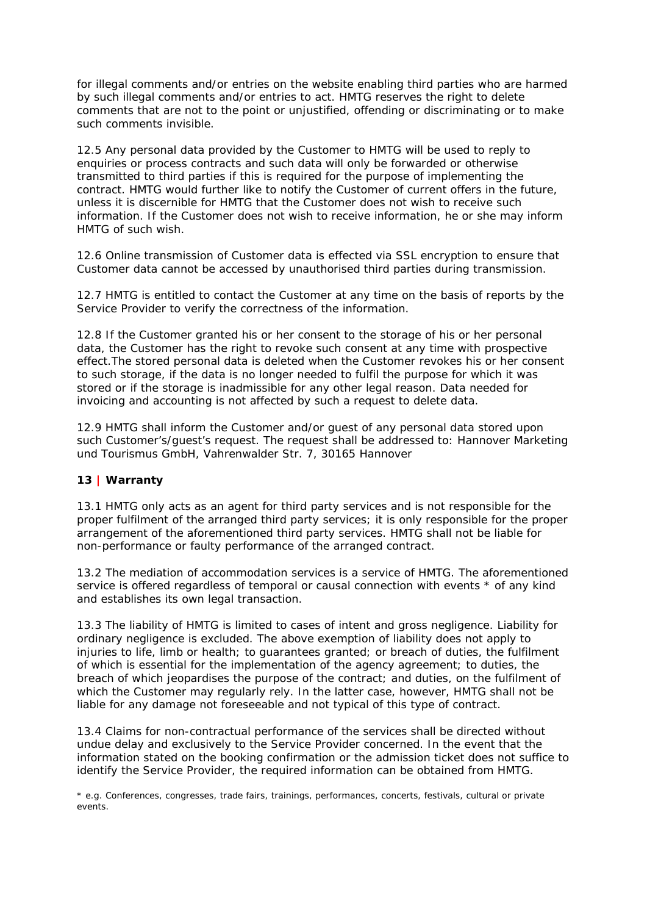for illegal comments and/or entries on the website enabling third parties who are harmed by such illegal comments and/or entries to act. HMTG reserves the right to delete comments that are not to the point or unjustified, offending or discriminating or to make such comments invisible.

12.5 Any personal data provided by the Customer to HMTG will be used to reply to enquiries or process contracts and such data will only be forwarded or otherwise transmitted to third parties if this is required for the purpose of implementing the contract. HMTG would further like to notify the Customer of current offers in the future, unless it is discernible for HMTG that the Customer does not wish to receive such information. If the Customer does not wish to receive information, he or she may inform HMTG of such wish.

12.6 Online transmission of Customer data is effected via SSL encryption to ensure that Customer data cannot be accessed by unauthorised third parties during transmission.

12.7 HMTG is entitled to contact the Customer at any time on the basis of reports by the Service Provider to verify the correctness of the information.

12.8 If the Customer granted his or her consent to the storage of his or her personal data, the Customer has the right to revoke such consent at any time with prospective effect.The stored personal data is deleted when the Customer revokes his or her consent to such storage, if the data is no longer needed to fulfil the purpose for which it was stored or if the storage is inadmissible for any other legal reason. Data needed for invoicing and accounting is not affected by such a request to delete data.

12.9 HMTG shall inform the Customer and/or guest of any personal data stored upon such Customer's/guest's request. The request shall be addressed to: Hannover Marketing und Tourismus GmbH, Vahrenwalder Str. 7, 30165 Hannover

# **13 | Warranty**

13.1 HMTG only acts as an agent for third party services and is not responsible for the proper fulfilment of the arranged third party services; it is only responsible for the proper arrangement of the aforementioned third party services. HMTG shall not be liable for non-performance or faulty performance of the arranged contract.

13.2 The mediation of accommodation services is a service of HMTG. The aforementioned service is offered regardless of temporal or causal connection with events  $*$  of any kind and establishes its own legal transaction.

13.3 The liability of HMTG is limited to cases of intent and gross negligence. Liability for ordinary negligence is excluded. The above exemption of liability does not apply to injuries to life, limb or health; to guarantees granted; or breach of duties, the fulfilment of which is essential for the implementation of the agency agreement; to duties, the breach of which jeopardises the purpose of the contract; and duties, on the fulfilment of which the Customer may regularly rely. In the latter case, however, HMTG shall not be liable for any damage not foreseeable and not typical of this type of contract.

13.4 Claims for non-contractual performance of the services shall be directed without undue delay and exclusively to the Service Provider concerned. In the event that the information stated on the booking confirmation or the admission ticket does not suffice to identify the Service Provider, the required information can be obtained from HMTG.

\* e.g. Conferences, congresses, trade fairs, trainings, performances, concerts, festivals, cultural or private events.